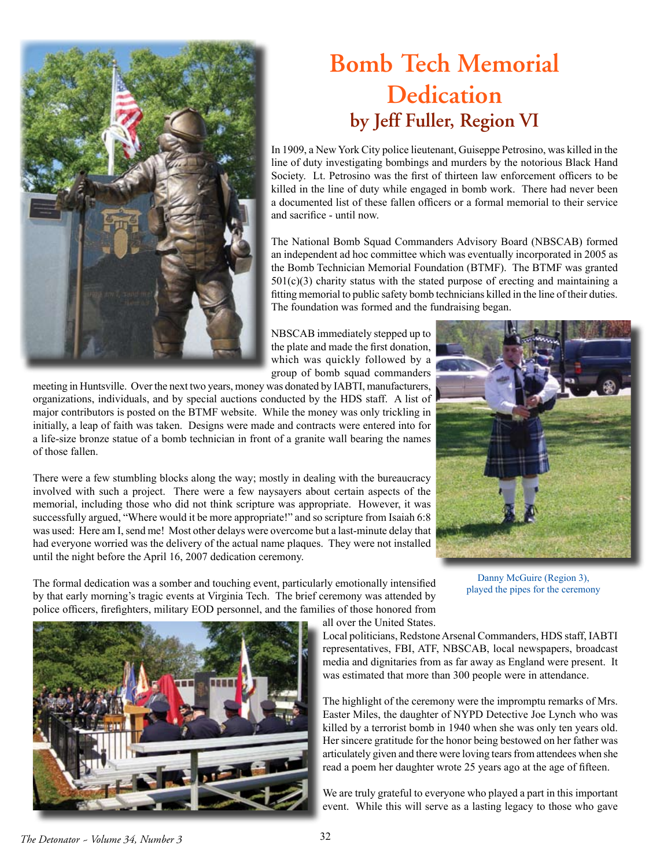

## **Bomb Tech Memorial Dedication by Jeff Fuller, Region VI**

In 1909, a New York City police lieutenant, Guiseppe Petrosino, was killed in the line of duty investigating bombings and murders by the notorious Black Hand Society. Lt. Petrosino was the first of thirteen law enforcement officers to be killed in the line of duty while engaged in bomb work. There had never been a documented list of these fallen officers or a formal memorial to their service and sacrifice - until now.

The National Bomb Squad Commanders Advisory Board (NBSCAB) formed an independent ad hoc committee which was eventually incorporated in 2005 as the Bomb Technician Memorial Foundation (BTMF). The BTMF was granted  $501(c)(3)$  charity status with the stated purpose of erecting and maintaining a fitting memorial to public safety bomb technicians killed in the line of their duties. The foundation was formed and the fundraising began.

NBSCAB immediately stepped up to the plate and made the first donation, which was quickly followed by a group of bomb squad commanders

meeting in Huntsville. Over the next two years, money was donated by IABTI, manufacturers, organizations, individuals, and by special auctions conducted by the HDS staff. A list of major contributors is posted on the BTMF website. While the money was only trickling in initially, a leap of faith was taken. Designs were made and contracts were entered into for a life-size bronze statue of a bomb technician in front of a granite wall bearing the names of those fallen.

There were a few stumbling blocks along the way; mostly in dealing with the bureaucracy involved with such a project. There were a few naysayers about certain aspects of the memorial, including those who did not think scripture was appropriate. However, it was successfully argued, "Where would it be more appropriate!" and so scripture from Isaiah 6:8 was used: Here am I, send me! Most other delays were overcome but a last-minute delay that had everyone worried was the delivery of the actual name plaques. They were not installed until the night before the April 16, 2007 dedication ceremony.



Danny McGuire (Region 3), played the pipes for the ceremony

The formal dedication was a somber and touching event, particularly emotionally intensified by that early morning's tragic events at Virginia Tech. The brief ceremony was attended by police officers, firefighters, military EOD personnel, and the families of those honored from all over the United States.

> Local politicians, Redstone Arsenal Commanders, HDS staff, IABTI representatives, FBI, ATF, NBSCAB, local newspapers, broadcast media and dignitaries from as far away as England were present. It was estimated that more than 300 people were in attendance.

> The highlight of the ceremony were the impromptu remarks of Mrs. Easter Miles, the daughter of NYPD Detective Joe Lynch who was killed by a terrorist bomb in 1940 when she was only ten years old. Her sincere gratitude for the honor being bestowed on her father was articulately given and there were loving tears from attendees when she read a poem her daughter wrote 25 years ago at the age of fifteen.

> We are truly grateful to everyone who played a part in this important event. While this will serve as a lasting legacy to those who gave



*The Detonator ~ Volume 34, Number 3* 32